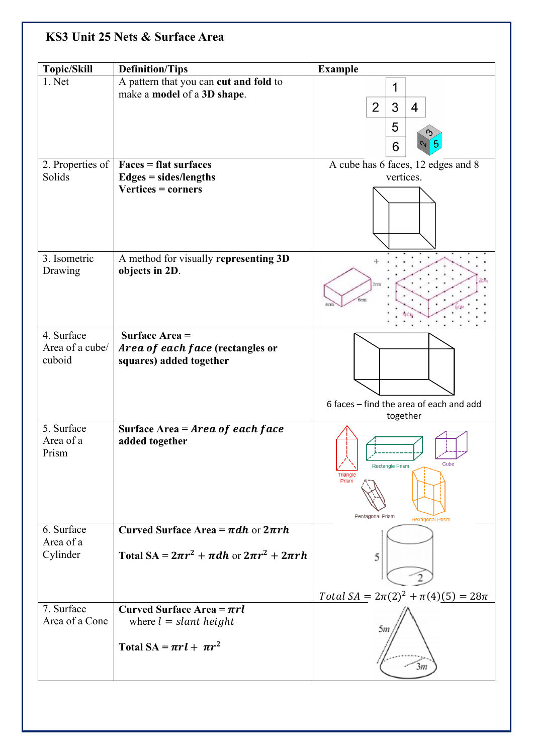## **KS3 Unit 25 Nets & Surface Area**

| <b>Topic/Skill</b> | <b>Definition/Tips</b>                                 | <b>Example</b>                             |
|--------------------|--------------------------------------------------------|--------------------------------------------|
| 1. Net             | A pattern that you can cut and fold to                 | 1                                          |
|                    | make a model of a 3D shape.                            | 3<br>$\overline{2}$                        |
|                    |                                                        | 4                                          |
|                    |                                                        | 5                                          |
|                    |                                                        | 6                                          |
| 2. Properties of   | Faces = flat surfaces                                  | A cube has 6 faces, 12 edges and 8         |
| Solids             | $Edges = sides/lengths$                                | vertices.                                  |
|                    | Vertices = corners                                     |                                            |
|                    |                                                        |                                            |
|                    |                                                        |                                            |
|                    |                                                        |                                            |
| 3. Isometric       | A method for visually representing 3D                  |                                            |
| Drawing            | objects in 2D.                                         |                                            |
|                    |                                                        | <sup>3</sup> cm                            |
|                    |                                                        |                                            |
|                    |                                                        |                                            |
| 4. Surface         | Surface Area =                                         |                                            |
| Area of a cube/    | Area of each face (rectangles or                       |                                            |
| cuboid             | squares) added together                                |                                            |
|                    |                                                        |                                            |
|                    |                                                        | 6 faces - find the area of each and add    |
|                    |                                                        | together                                   |
| 5. Surface         | Surface Area = $Area of each face$                     |                                            |
| Area of a<br>Prism | added together                                         |                                            |
|                    |                                                        | Cube<br>Rectangle Prism                    |
|                    |                                                        | Triangle<br>Prism                          |
|                    |                                                        |                                            |
|                    |                                                        | Pentagonal Prism                           |
| 6. Surface         | Curved Surface Area = $\pi dh$ or $2\pi rh$            | <b>Hexagonal Prism</b>                     |
| Area of a          |                                                        |                                            |
| Cylinder           | Total SA = $2\pi r^2 + \pi dh$ or $2\pi r^2 + 2\pi rh$ | 5                                          |
|                    |                                                        |                                            |
|                    |                                                        | Total $SA = 2\pi(2)^2 + \pi(4)(5) = 28\pi$ |
| 7. Surface         | Curved Surface Area = $\pi r l$                        |                                            |
| Area of a Cone     | where $l = slant height$                               |                                            |
|                    |                                                        | 5m                                         |
|                    | Total SA = $\pi r l + \pi r^2$                         |                                            |
|                    |                                                        | 3m                                         |
|                    |                                                        |                                            |